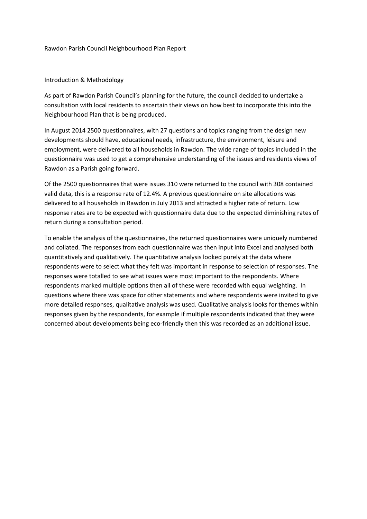#### Rawdon Parish Council Neighbourhood Plan Report

#### Introduction & Methodology

As part of Rawdon Parish Council's planning for the future, the council decided to undertake a consultation with local residents to ascertain their views on how best to incorporate this into the Neighbourhood Plan that is being produced.

In August 2014 2500 questionnaires, with 27 questions and topics ranging from the design new developments should have, educational needs, infrastructure, the environment, leisure and employment, were delivered to all households in Rawdon. The wide range of topics included in the questionnaire was used to get a comprehensive understanding of the issues and residents views of Rawdon as a Parish going forward.

Of the 2500 questionnaires that were issues 310 were returned to the council with 308 contained valid data, this is a response rate of 12.4%. A previous questionnaire on site allocations was delivered to all households in Rawdon in July 2013 and attracted a higher rate of return. Low response rates are to be expected with questionnaire data due to the expected diminishing rates of return during a consultation period.

To enable the analysis of the questionnaires, the returned questionnaires were uniquely numbered and collated. The responses from each questionnaire was then input into Excel and analysed both quantitatively and qualitatively. The quantitative analysis looked purely at the data where respondents were to select what they felt was important in response to selection of responses. The responses were totalled to see what issues were most important to the respondents. Where respondents marked multiple options then all of these were recorded with equal weighting. In questions where there was space for other statements and where respondents were invited to give more detailed responses, qualitative analysis was used. Qualitative analysis looks for themes within responses given by the respondents, for example if multiple respondents indicated that they were concerned about developments being eco-friendly then this was recorded as an additional issue.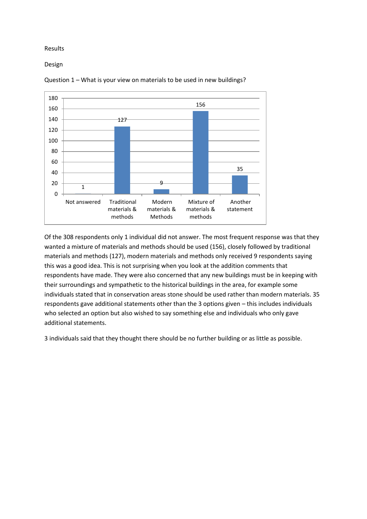## Results

Design



Question 1 – What is your view on materials to be used in new buildings?

Of the 308 respondents only 1 individual did not answer. The most frequent response was that they wanted a mixture of materials and methods should be used (156), closely followed by traditional materials and methods (127), modern materials and methods only received 9 respondents saying this was a good idea. This is not surprising when you look at the addition comments that respondents have made. They were also concerned that any new buildings must be in keeping with their surroundings and sympathetic to the historical buildings in the area, for example some individuals stated that in conservation areas stone should be used rather than modern materials. 35 respondents gave additional statements other than the 3 options given – this includes individuals who selected an option but also wished to say something else and individuals who only gave additional statements.

3 individuals said that they thought there should be no further building or as little as possible.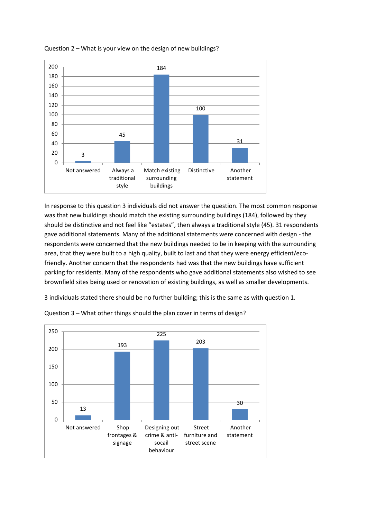

Question 2 – What is your view on the design of new buildings?

In response to this question 3 individuals did not answer the question. The most common response was that new buildings should match the existing surrounding buildings (184), followed by they should be distinctive and not feel like "estates", then always a traditional style (45). 31 respondents gave additional statements. Many of the additional statements were concerned with design - the respondents were concerned that the new buildings needed to be in keeping with the surrounding area, that they were built to a high quality, built to last and that they were energy efficient/ecofriendly. Another concern that the respondents had was that the new buildings have sufficient parking for residents. Many of the respondents who gave additional statements also wished to see brownfield sites being used or renovation of existing buildings, as well as smaller developments.

3 individuals stated there should be no further building; this is the same as with question 1.



Question 3 – What other things should the plan cover in terms of design?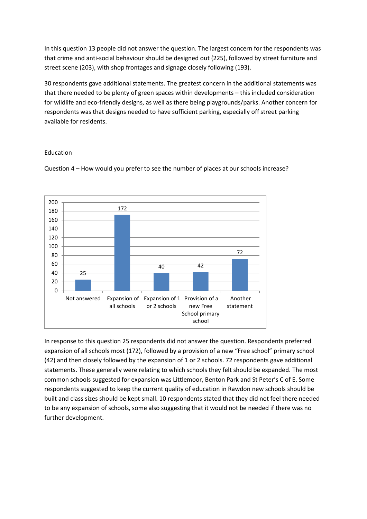In this question 13 people did not answer the question. The largest concern for the respondents was that crime and anti-social behaviour should be designed out (225), followed by street furniture and street scene (203), with shop frontages and signage closely following (193).

30 respondents gave additional statements. The greatest concern in the additional statements was that there needed to be plenty of green spaces within developments – this included consideration for wildlife and eco-friendly designs, as well as there being playgrounds/parks. Another concern for respondents was that designs needed to have sufficient parking, especially off street parking available for residents.

### Education



Question 4 – How would you prefer to see the number of places at our schools increase?

In response to this question 25 respondents did not answer the question. Respondents preferred expansion of all schools most (172), followed by a provision of a new "Free school" primary school (42) and then closely followed by the expansion of 1 or 2 schools. 72 respondents gave additional statements. These generally were relating to which schools they felt should be expanded. The most common schools suggested for expansion was Littlemoor, Benton Park and St Peter's C of E. Some respondents suggested to keep the current quality of education in Rawdon new schools should be built and class sizes should be kept small. 10 respondents stated that they did not feel there needed to be any expansion of schools, some also suggesting that it would not be needed if there was no further development.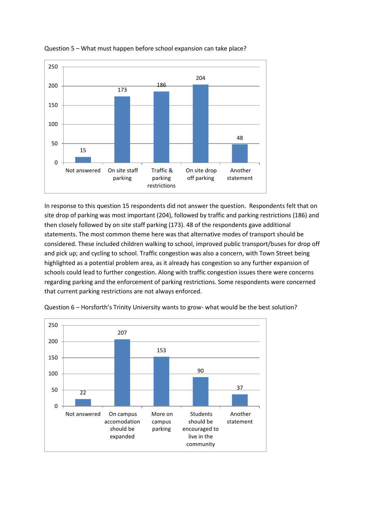

# Question 5 – What must happen before school expansion can take place?

In response to this question 15 respondents did not answer the question. Respondents felt that on site drop of parking was most important (204), followed by traffic and parking restrictions (186) and then closely followed by on site staff parking (173). 48 of the respondents gave additional statements. The most common theme here was that alternative modes of transport should be considered. These included children walking to school, improved public transport/buses for drop off and pick up; and cycling to school. Traffic congestion was also a concern, with Town Street being highlighted as a potential problem area, as it already has congestion so any further expansion of schools could lead to further congestion. Along with traffic congestion issues there were concerns regarding parking and the enforcement of parking restrictions. Some respondents were concerned that current parking restrictions are not always enforced.



Question 6 – Horsforth's Trinity University wants to grow- what would be the best solution?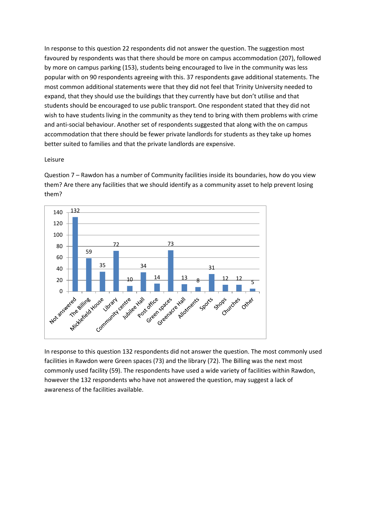In response to this question 22 respondents did not answer the question. The suggestion most favoured by respondents was that there should be more on campus accommodation (207), followed by more on campus parking (153), students being encouraged to live in the community was less popular with on 90 respondents agreeing with this. 37 respondents gave additional statements. The most common additional statements were that they did not feel that Trinity University needed to expand, that they should use the buildings that they currently have but don't utilise and that students should be encouraged to use public transport. One respondent stated that they did not wish to have students living in the community as they tend to bring with them problems with crime and anti-social behaviour. Another set of respondents suggested that along with the on campus accommodation that there should be fewer private landlords for students as they take up homes better suited to families and that the private landlords are expensive.

#### Leisure

Question 7 – Rawdon has a number of Community facilities inside its boundaries, how do you view them? Are there any facilities that we should identify as a community asset to help prevent losing them?



In response to this question 132 respondents did not answer the question. The most commonly used facilities in Rawdon were Green spaces (73) and the library (72). The Billing was the next most commonly used facility (59). The respondents have used a wide variety of facilities within Rawdon, however the 132 respondents who have not answered the question, may suggest a lack of awareness of the facilities available.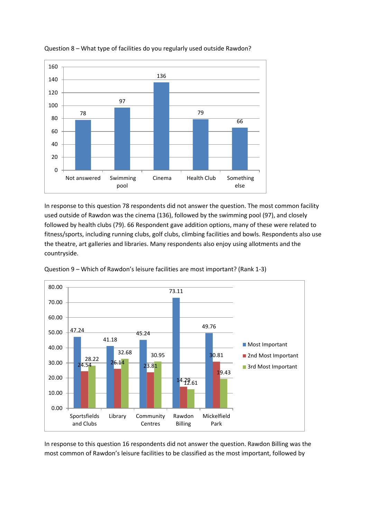

## Question 8 – What type of facilities do you regularly used outside Rawdon?

In response to this question 78 respondents did not answer the question. The most common facility used outside of Rawdon was the cinema (136), followed by the swimming pool (97), and closely followed by health clubs (79). 66 Respondent gave addition options, many of these were related to fitness/sports, including running clubs, golf clubs, climbing facilities and bowls. Respondents also use the theatre, art galleries and libraries. Many respondents also enjoy using allotments and the countryside.



Question 9 – Which of Rawdon's leisure facilities are most important? (Rank 1-3)

In response to this question 16 respondents did not answer the question. Rawdon Billing was the most common of Rawdon's leisure facilities to be classified as the most important, followed by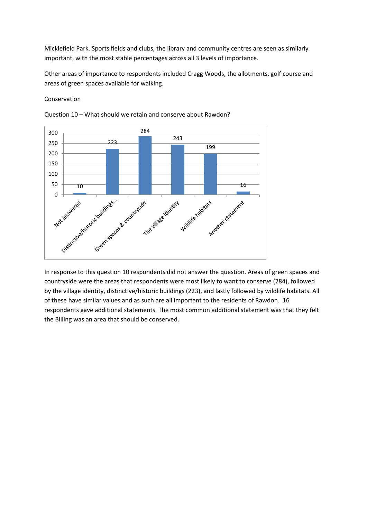Micklefield Park. Sports fields and clubs, the library and community centres are seen as similarly important, with the most stable percentages across all 3 levels of importance.

Other areas of importance to respondents included Cragg Woods, the allotments, golf course and areas of green spaces available for walking.

### Conservation



Question 10 – What should we retain and conserve about Rawdon?

In response to this question 10 respondents did not answer the question. Areas of green spaces and countryside were the areas that respondents were most likely to want to conserve (284), followed by the village identity, distinctive/historic buildings (223), and lastly followed by wildlife habitats. All of these have similar values and as such are all important to the residents of Rawdon. 16 respondents gave additional statements. The most common additional statement was that they felt the Billing was an area that should be conserved.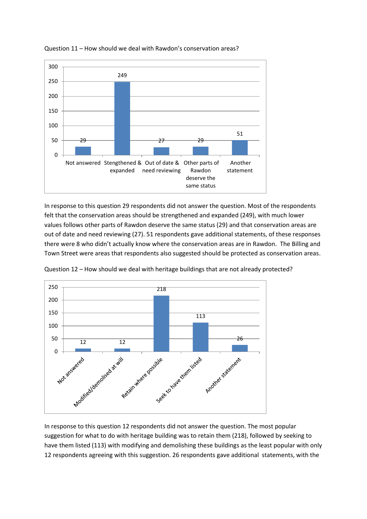

Question 11 – How should we deal with Rawdon's conservation areas?

In response to this question 29 respondents did not answer the question. Most of the respondents felt that the conservation areas should be strengthened and expanded (249), with much lower values follows other parts of Rawdon deserve the same status (29) and that conservation areas are out of date and need reviewing (27). 51 respondents gave additional statements, of these responses there were 8 who didn't actually know where the conservation areas are in Rawdon. The Billing and Town Street were areas that respondents also suggested should be protected as conservation areas.



Question 12 – How should we deal with heritage buildings that are not already protected?

In response to this question 12 respondents did not answer the question. The most popular suggestion for what to do with heritage building was to retain them (218), followed by seeking to have them listed (113) with modifying and demolishing these buildings as the least popular with only 12 respondents agreeing with this suggestion. 26 respondents gave additional statements, with the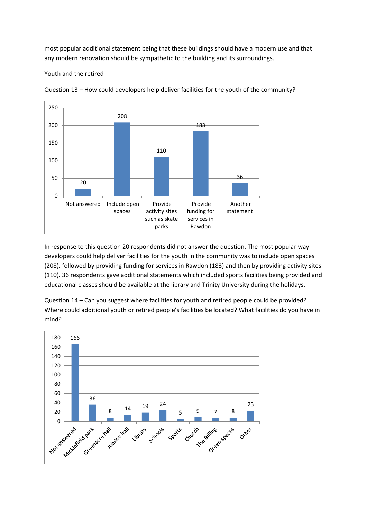most popular additional statement being that these buildings should have a modern use and that any modern renovation should be sympathetic to the building and its surroundings.

Youth and the retired



Question 13 – How could developers help deliver facilities for the youth of the community?

In response to this question 20 respondents did not answer the question. The most popular way developers could help deliver facilities for the youth in the community was to include open spaces (208), followed by providing funding for services in Rawdon (183) and then by providing activity sites (110). 36 respondents gave additional statements which included sports facilities being provided and educational classes should be available at the library and Trinity University during the holidays.

Question 14 – Can you suggest where facilities for youth and retired people could be provided? Where could additional youth or retired people's facilities be located? What facilities do you have in mind?

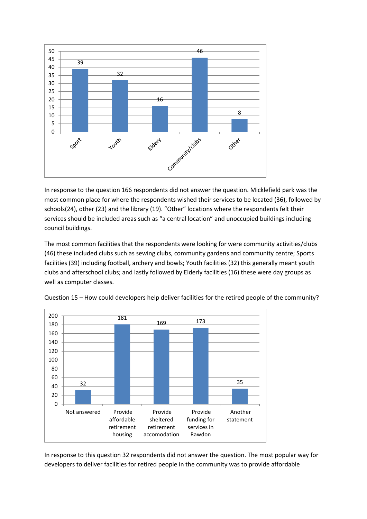

In response to the question 166 respondents did not answer the question. Micklefield park was the most common place for where the respondents wished their services to be located (36), followed by schools(24), other (23) and the library (19). "Other" locations where the respondents felt their services should be included areas such as "a central location" and unoccupied buildings including council buildings.

The most common facilities that the respondents were looking for were community activities/clubs (46) these included clubs such as sewing clubs, community gardens and community centre; Sports facilities (39) including football, archery and bowls; Youth facilities (32) this generally meant youth clubs and afterschool clubs; and lastly followed by Elderly facilities (16) these were day groups as well as computer classes.



Question 15 – How could developers help deliver facilities for the retired people of the community?

In response to this question 32 respondents did not answer the question. The most popular way for developers to deliver facilities for retired people in the community was to provide affordable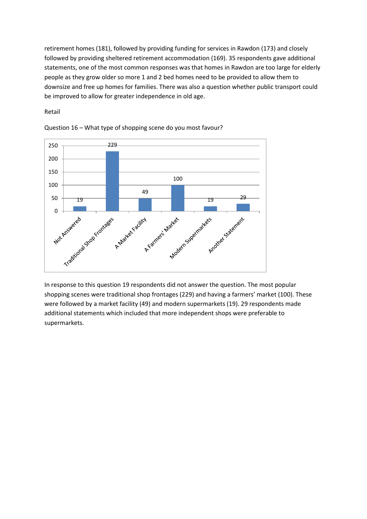retirement homes (181), followed by providing funding for services in Rawdon (173) and closely followed by providing sheltered retirement accommodation (169). 35 respondents gave additional statements, one of the most common responses was that homes in Rawdon are too large for elderly people as they grow older so more 1 and 2 bed homes need to be provided to allow them to downsize and free up homes for families. There was also a question whether public transport could be improved to allow for greater independence in old age.

Retail



Question 16 – What type of shopping scene do you most favour?

In response to this question 19 respondents did not answer the question. The most popular shopping scenes were traditional shop frontages (229) and having a farmers' market (100). These were followed by a market facility (49) and modern supermarkets (19). 29 respondents made additional statements which included that more independent shops were preferable to supermarkets.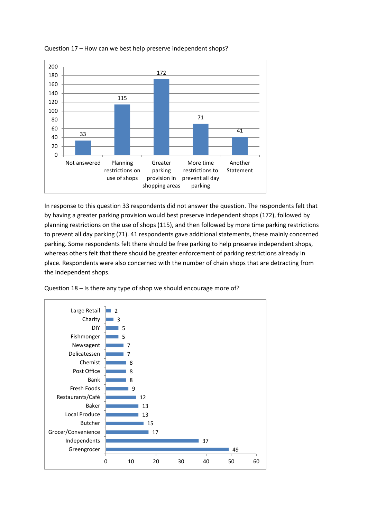

## Question 17 – How can we best help preserve independent shops?

In response to this question 33 respondents did not answer the question. The respondents felt that by having a greater parking provision would best preserve independent shops (172), followed by planning restrictions on the use of shops (115), and then followed by more time parking restrictions to prevent all day parking (71). 41 respondents gave additional statements, these mainly concerned parking. Some respondents felt there should be free parking to help preserve independent shops, whereas others felt that there should be greater enforcement of parking restrictions already in place. Respondents were also concerned with the number of chain shops that are detracting from the independent shops.



Question 18 – Is there any type of shop we should encourage more of?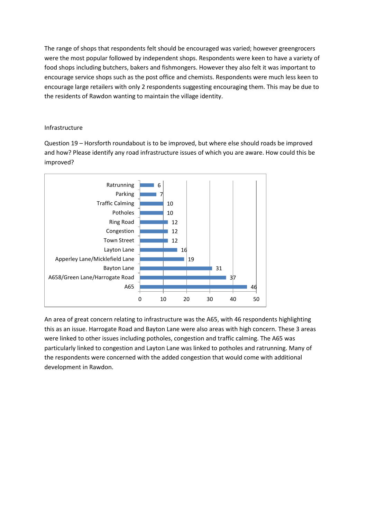The range of shops that respondents felt should be encouraged was varied; however greengrocers were the most popular followed by independent shops. Respondents were keen to have a variety of food shops including butchers, bakers and fishmongers. However they also felt it was important to encourage service shops such as the post office and chemists. Respondents were much less keen to encourage large retailers with only 2 respondents suggesting encouraging them. This may be due to the residents of Rawdon wanting to maintain the village identity.

# Infrastructure

Question 19 – Horsforth roundabout is to be improved, but where else should roads be improved and how? Please identify any road infrastructure issues of which you are aware. How could this be improved?



An area of great concern relating to infrastructure was the A65, with 46 respondents highlighting this as an issue. Harrogate Road and Bayton Lane were also areas with high concern. These 3 areas were linked to other issues including potholes, congestion and traffic calming. The A65 was particularly linked to congestion and Layton Lane was linked to potholes and ratrunning. Many of the respondents were concerned with the added congestion that would come with additional development in Rawdon.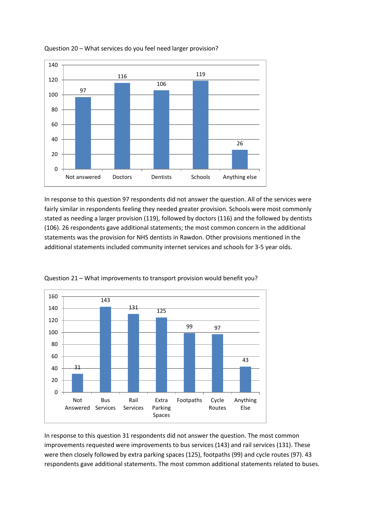

## Question 20 – What services do you feel need larger provision?

In response to this question 97 respondents did not answer the question. All of the services were fairly similar in respondents feeling they needed greater provision. Schools were most commonly stated as needing a larger provision (119), followed by doctors (116) and the followed by dentists (106). 26 respondents gave additional statements; the most common concern in the additional statements was the provision for NHS dentists in Rawdon. Other provisions mentioned in the additional statements included community internet services and schools for 3-5 year olds.



Question 21 – What improvements to transport provision would benefit you?

In response to this question 31 respondents did not answer the question. The most common improvements requested were improvements to bus services (143) and rail services (131). These were then closely followed by extra parking spaces (125), footpaths (99) and cycle routes (97). 43 respondents gave additional statements. The most common additional statements related to buses.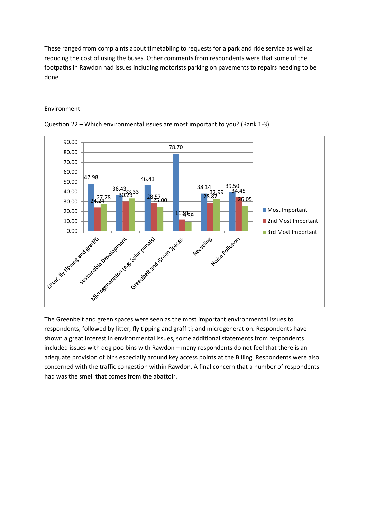These ranged from complaints about timetabling to requests for a park and ride service as well as reducing the cost of using the buses. Other comments from respondents were that some of the footpaths in Rawdon had issues including motorists parking on pavements to repairs needing to be done.

#### Environment





The Greenbelt and green spaces were seen as the most important environmental issues to respondents, followed by litter, fly tipping and graffiti; and microgeneration. Respondents have shown a great interest in environmental issues, some additional statements from respondents included issues with dog poo bins with Rawdon – many respondents do not feel that there is an adequate provision of bins especially around key access points at the Billing. Respondents were also concerned with the traffic congestion within Rawdon. A final concern that a number of respondents had was the smell that comes from the abattoir.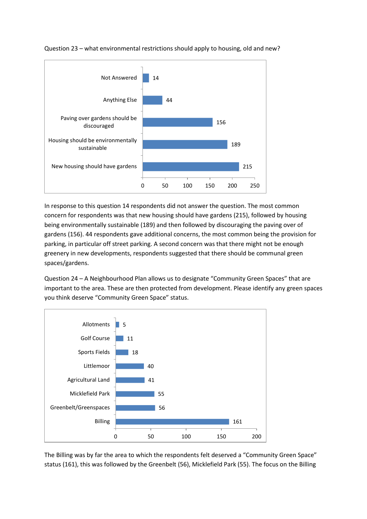

# Question 23 – what environmental restrictions should apply to housing, old and new?

In response to this question 14 respondents did not answer the question. The most common concern for respondents was that new housing should have gardens (215), followed by housing being environmentally sustainable (189) and then followed by discouraging the paving over of gardens (156). 44 respondents gave additional concerns, the most common being the provision for parking, in particular off street parking. A second concern was that there might not be enough greenery in new developments, respondents suggested that there should be communal green spaces/gardens.

Question 24 – A Neighbourhood Plan allows us to designate "Community Green Spaces" that are important to the area. These are then protected from development. Please identify any green spaces you think deserve "Community Green Space" status.



The Billing was by far the area to which the respondents felt deserved a "Community Green Space" status (161), this was followed by the Greenbelt (56), Micklefield Park (55). The focus on the Billing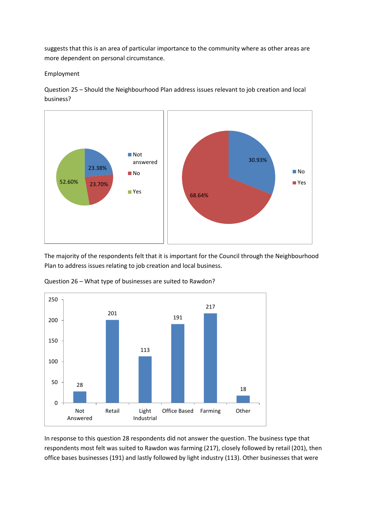suggests that this is an area of particular importance to the community where as other areas are more dependent on personal circumstance.

Employment

Question 25 – Should the Neighbourhood Plan address issues relevant to job creation and local business?



The majority of the respondents felt that it is important for the Council through the Neighbourhood Plan to address issues relating to job creation and local business.



Question 26 – What type of businesses are suited to Rawdon?

In response to this question 28 respondents did not answer the question. The business type that respondents most felt was suited to Rawdon was farming (217), closely followed by retail (201), then office bases businesses (191) and lastly followed by light industry (113). Other businesses that were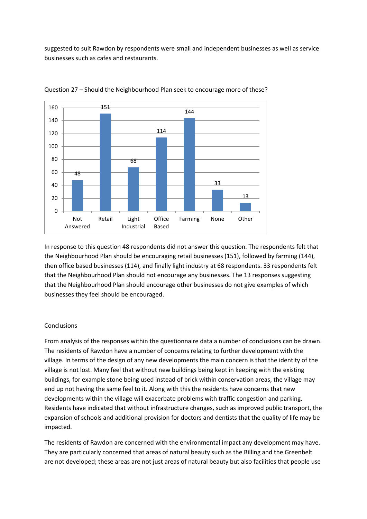suggested to suit Rawdon by respondents were small and independent businesses as well as service businesses such as cafes and restaurants.



Question 27 – Should the Neighbourhood Plan seek to encourage more of these?

In response to this question 48 respondents did not answer this question. The respondents felt that the Neighbourhood Plan should be encouraging retail businesses (151), followed by farming (144), then office based businesses (114), and finally light industry at 68 respondents. 33 respondents felt that the Neighbourhood Plan should not encourage any businesses. The 13 responses suggesting that the Neighbourhood Plan should encourage other businesses do not give examples of which businesses they feel should be encouraged.

### **Conclusions**

From analysis of the responses within the questionnaire data a number of conclusions can be drawn. The residents of Rawdon have a number of concerns relating to further development with the village. In terms of the design of any new developments the main concern is that the identity of the village is not lost. Many feel that without new buildings being kept in keeping with the existing buildings, for example stone being used instead of brick within conservation areas, the village may end up not having the same feel to it. Along with this the residents have concerns that new developments within the village will exacerbate problems with traffic congestion and parking. Residents have indicated that without infrastructure changes, such as improved public transport, the expansion of schools and additional provision for doctors and dentists that the quality of life may be impacted.

The residents of Rawdon are concerned with the environmental impact any development may have. They are particularly concerned that areas of natural beauty such as the Billing and the Greenbelt are not developed; these areas are not just areas of natural beauty but also facilities that people use